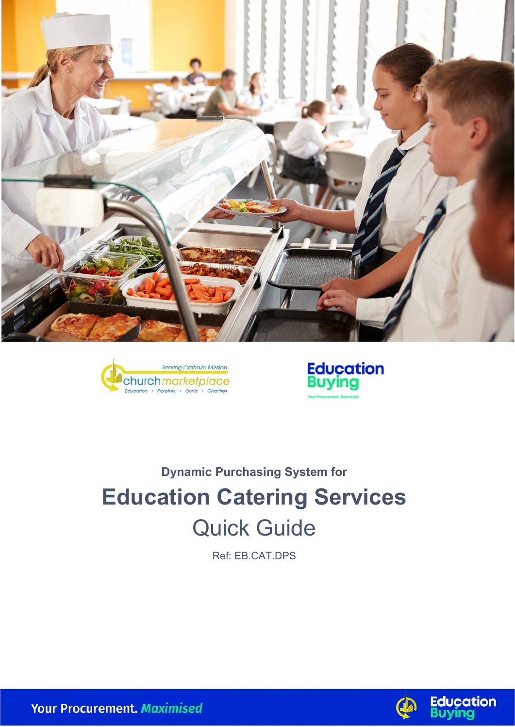





# **Dynamic Purchasing System for Education Catering Services** Quick Guide

Ref: EB.CAT.DPS



**Your Procurement. Maximised**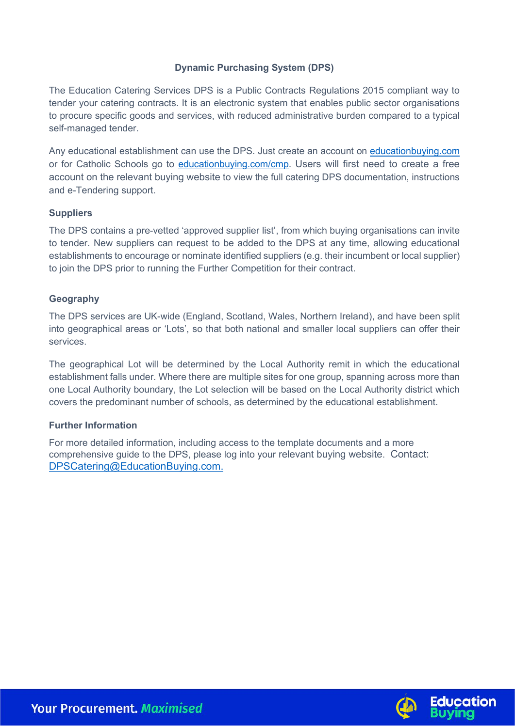# **Dynamic Purchasing System (DPS)**

The Education Catering Services DPS is a Public Contracts Regulations 2015 compliant way to tender your catering contracts. It is an electronic system that enables public sector organisations to procure specific goods and services, with reduced administrative burden compared to a typical self-managed tender.

Any educational establishment can use the DPS. Just create an account on [educationbuying.com](http://www.educationbuying.com/) or for Catholic Schools go to [educationbuying.com/cmp.](https://www.educationbuying.com/cmp) Users will first need to create a free account on the relevant buying website to view the full catering DPS documentation, instructions and e-Tendering support.

## **Suppliers**

The DPS contains a pre-vetted 'approved supplier list', from which buying organisations can invite to tender. New suppliers can request to be added to the DPS at any time, allowing educational establishments to encourage or nominate identified suppliers (e.g. their incumbent or local supplier) to join the DPS prior to running the Further Competition for their contract.

#### **Geography**

The DPS services are UK-wide (England, Scotland, Wales, Northern Ireland), and have been split into geographical areas or 'Lots', so that both national and smaller local suppliers can offer their services.

The geographical Lot will be determined by the Local Authority remit in which the educational establishment falls under. Where there are multiple sites for one group, spanning across more than one Local Authority boundary, the Lot selection will be based on the Local Authority district which covers the predominant number of schools, as determined by the educational establishment.

## **Further Information**

For more detailed information, including access to the template documents and a more comprehensive guide to the DPS, please log into your relevant buying website. Contact: [DPSCatering@EducationBuying.com.](mailto:DPSCatering@EducationBuying.com)